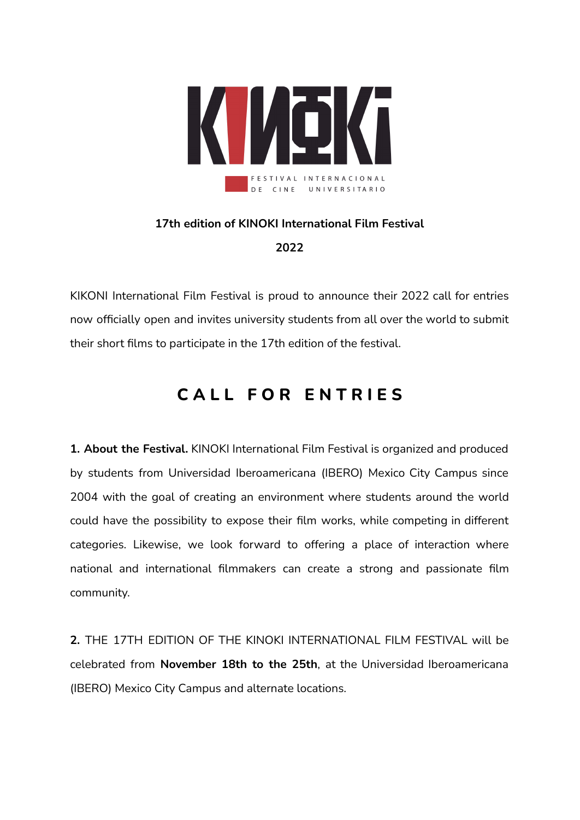

### **17th edition of KINOKI International Film Festival 2022**

KIKONI International Film Festival is proud to announce their 2022 call for entries now officially open and invites university students from all over the world to submit their short films to participate in the 17th edition of the festival.

# **C A L L F O R E N T R I E S**

**1. About the Festival.** KINOKI International Film Festival is organized and produced by students from Universidad Iberoamericana (IBERO) Mexico City Campus since 2004 with the goal of creating an environment where students around the world could have the possibility to expose their film works, while competing in different categories. Likewise, we look forward to offering a place of interaction where national and international filmmakers can create a strong and passionate film community.

**2.** THE 17TH EDITION OF THE KINOKI INTERNATIONAL FILM FESTIVAL will be celebrated from **November 18th to the 25th**, at the Universidad Iberoamericana (IBERO) Mexico City Campus and alternate locations.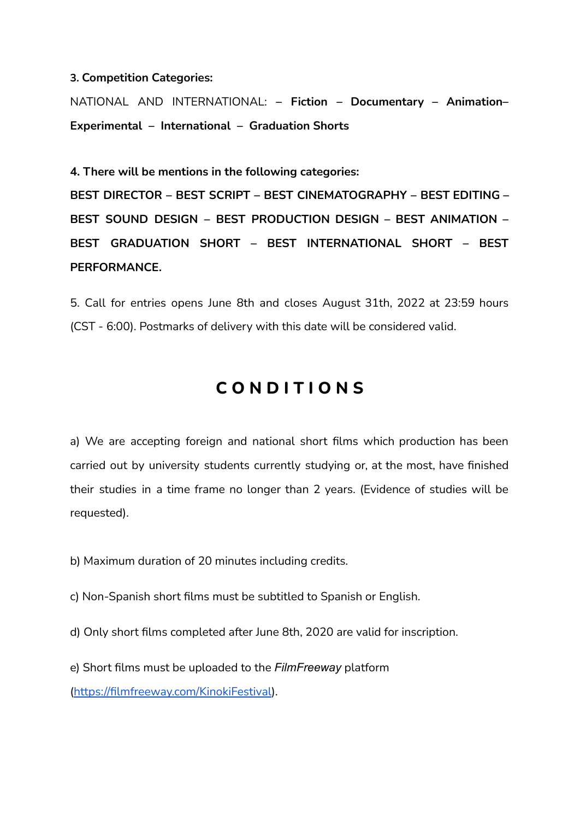#### **3. Competition Categories:**

NATIONAL AND INTERNATIONAL: **– Fiction – Documentary – Animation– Experimental – International – Graduation Shorts**

**4. There will be mentions in the following categories:**

**BEST DIRECTOR – BEST SCRIPT – BEST CINEMATOGRAPHY – BEST EDITING – BEST SOUND DESIGN – BEST PRODUCTION DESIGN – BEST ANIMATION – BEST GRADUATION SHORT – BEST INTERNATIONAL SHORT – BEST PERFORMANCE.**

5. Call for entries opens June 8th and closes August 31th, 2022 at 23:59 hours (CST - 6:00). Postmarks of delivery with this date will be considered valid.

## **C O N D I T I O N S**

a) We are accepting foreign and national short films which production has been carried out by university students currently studying or, at the most, have finished their studies in a time frame no longer than 2 years. (Evidence of studies will be requested).

b) Maximum duration of 20 minutes including credits.

- c) Non-Spanish short films must be subtitled to Spanish or English.
- d) Only short films completed after June 8th, 2020 are valid for inscription.

e) Short films must be uploaded to the *FilmFreeway* platform

(<https://filmfreeway.com/KinokiFestival>).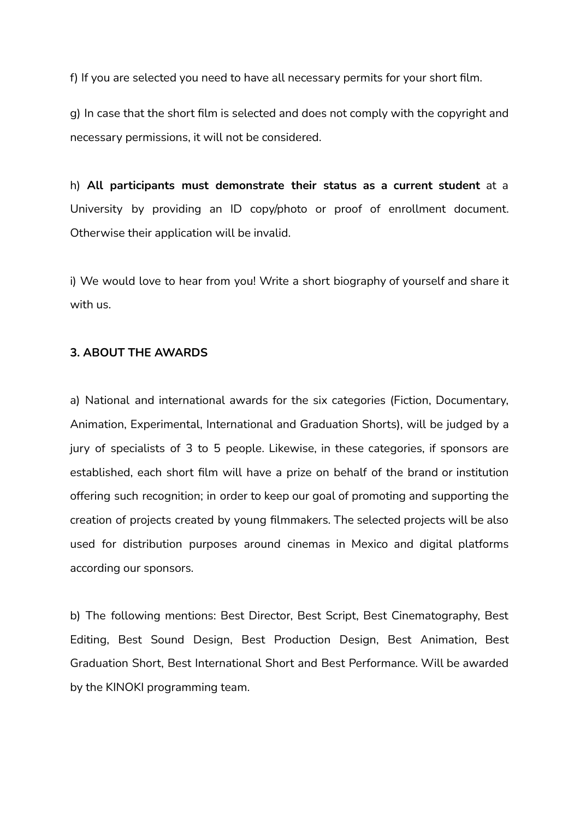f) If you are selected you need to have all necessary permits for your short film.

g) In case that the short film is selected and does not comply with the copyright and necessary permissions, it will not be considered.

h) **All participants must demonstrate their status as a current student** at a University by providing an ID copy/photo or proof of enrollment document. Otherwise their application will be invalid.

i) We would love to hear from you! Write a short biography of yourself and share it with us.

#### **3. ABOUT THE AWARDS**

a) National and international awards for the six categories (Fiction, Documentary, Animation, Experimental, International and Graduation Shorts), will be judged by a jury of specialists of 3 to 5 people. Likewise, in these categories, if sponsors are established, each short film will have a prize on behalf of the brand or institution offering such recognition; in order to keep our goal of promoting and supporting the creation of projects created by young filmmakers. The selected projects will be also used for distribution purposes around cinemas in Mexico and digital platforms according our sponsors.

b) The following mentions: Best Director, Best Script, Best Cinematography, Best Editing, Best Sound Design, Best Production Design, Best Animation, Best Graduation Short, Best International Short and Best Performance. Will be awarded by the KINOKI programming team.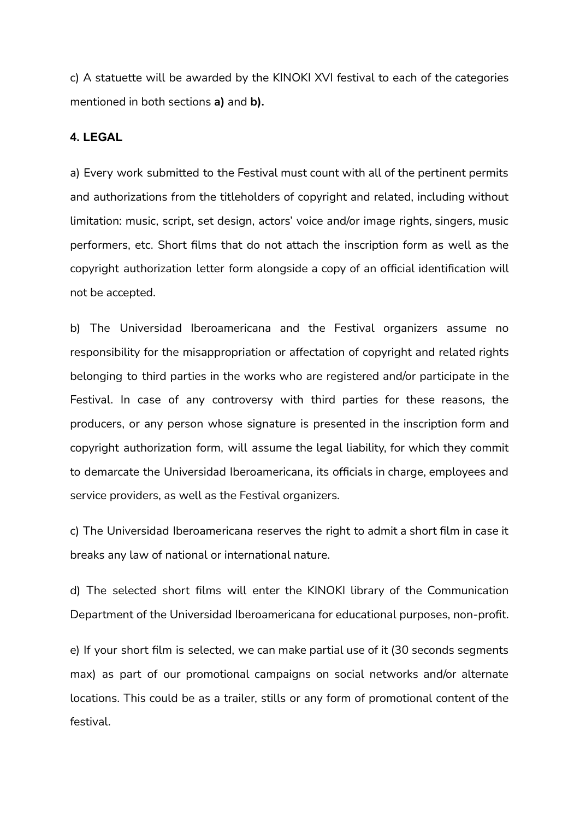c) A statuette will be awarded by the KINOKI XVI festival to each of the categories mentioned in both sections **a)** and **b).**

### **4. LEGAL**

a) Every work submitted to the Festival must count with all of the pertinent permits and authorizations from the titleholders of copyright and related, including without limitation: music, script, set design, actors' voice and/or image rights, singers, music performers, etc. Short films that do not attach the inscription form as well as the copyright authorization letter form alongside a copy of an official identification will not be accepted.

b) The Universidad Iberoamericana and the Festival organizers assume no responsibility for the misappropriation or affectation of copyright and related rights belonging to third parties in the works who are registered and/or participate in the Festival. In case of any controversy with third parties for these reasons, the producers, or any person whose signature is presented in the inscription form and copyright authorization form, will assume the legal liability, for which they commit to demarcate the Universidad Iberoamericana, its officials in charge, employees and service providers, as well as the Festival organizers.

c) The Universidad Iberoamericana reserves the right to admit a short film in case it breaks any law of national or international nature.

d) The selected short films will enter the KINOKI library of the Communication Department of the Universidad Iberoamericana for educational purposes, non-profit.

e) If your short film is selected, we can make partial use of it (30 seconds segments max) as part of our promotional campaigns on social networks and/or alternate locations. This could be as a trailer, stills or any form of promotional content of the festival.